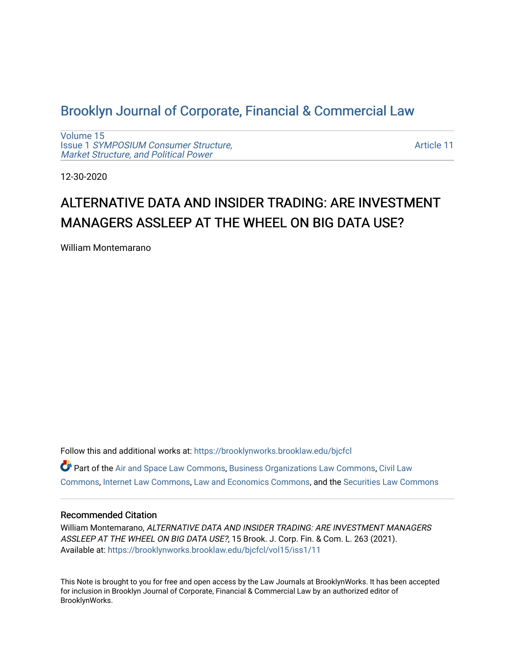# [Brooklyn Journal of Corporate, Financial & Commercial Law](https://brooklynworks.brooklaw.edu/bjcfcl)

[Volume 15](https://brooklynworks.brooklaw.edu/bjcfcl/vol15) Issue 1 [SYMPOSIUM Consumer Structure,](https://brooklynworks.brooklaw.edu/bjcfcl/vol15/iss1) [Market Structure, and Political Power](https://brooklynworks.brooklaw.edu/bjcfcl/vol15/iss1)

[Article 11](https://brooklynworks.brooklaw.edu/bjcfcl/vol15/iss1/11) 

12-30-2020

# ALTERNATIVE DATA AND INSIDER TRADING: ARE INVESTMENT MANAGERS ASSLEEP AT THE WHEEL ON BIG DATA USE?

William Montemarano

Follow this and additional works at: [https://brooklynworks.brooklaw.edu/bjcfcl](https://brooklynworks.brooklaw.edu/bjcfcl?utm_source=brooklynworks.brooklaw.edu%2Fbjcfcl%2Fvol15%2Fiss1%2F11&utm_medium=PDF&utm_campaign=PDFCoverPages)

Part of the [Air and Space Law Commons](http://network.bepress.com/hgg/discipline/830?utm_source=brooklynworks.brooklaw.edu%2Fbjcfcl%2Fvol15%2Fiss1%2F11&utm_medium=PDF&utm_campaign=PDFCoverPages), [Business Organizations Law Commons](http://network.bepress.com/hgg/discipline/900?utm_source=brooklynworks.brooklaw.edu%2Fbjcfcl%2Fvol15%2Fiss1%2F11&utm_medium=PDF&utm_campaign=PDFCoverPages), [Civil Law](http://network.bepress.com/hgg/discipline/835?utm_source=brooklynworks.brooklaw.edu%2Fbjcfcl%2Fvol15%2Fiss1%2F11&utm_medium=PDF&utm_campaign=PDFCoverPages) [Commons](http://network.bepress.com/hgg/discipline/835?utm_source=brooklynworks.brooklaw.edu%2Fbjcfcl%2Fvol15%2Fiss1%2F11&utm_medium=PDF&utm_campaign=PDFCoverPages), [Internet Law Commons](http://network.bepress.com/hgg/discipline/892?utm_source=brooklynworks.brooklaw.edu%2Fbjcfcl%2Fvol15%2Fiss1%2F11&utm_medium=PDF&utm_campaign=PDFCoverPages), [Law and Economics Commons](http://network.bepress.com/hgg/discipline/612?utm_source=brooklynworks.brooklaw.edu%2Fbjcfcl%2Fvol15%2Fiss1%2F11&utm_medium=PDF&utm_campaign=PDFCoverPages), and the [Securities Law Commons](http://network.bepress.com/hgg/discipline/619?utm_source=brooklynworks.brooklaw.edu%2Fbjcfcl%2Fvol15%2Fiss1%2F11&utm_medium=PDF&utm_campaign=PDFCoverPages) 

# Recommended Citation

William Montemarano, ALTERNATIVE DATA AND INSIDER TRADING: ARE INVESTMENT MANAGERS ASSLEEP AT THE WHEEL ON BIG DATA USE?, 15 Brook. J. Corp. Fin. & Com. L. 263 (2021). Available at: [https://brooklynworks.brooklaw.edu/bjcfcl/vol15/iss1/11](https://brooklynworks.brooklaw.edu/bjcfcl/vol15/iss1/11?utm_source=brooklynworks.brooklaw.edu%2Fbjcfcl%2Fvol15%2Fiss1%2F11&utm_medium=PDF&utm_campaign=PDFCoverPages) 

This Note is brought to you for free and open access by the Law Journals at BrooklynWorks. It has been accepted for inclusion in Brooklyn Journal of Corporate, Financial & Commercial Law by an authorized editor of BrooklynWorks.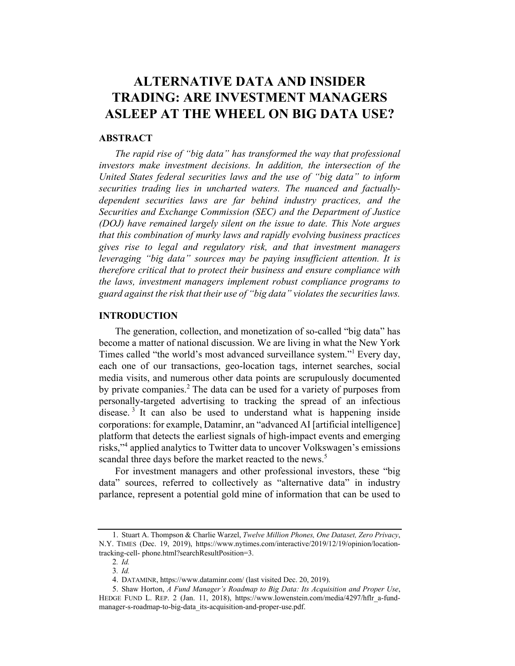# ALTERNATIVE DATA AND INSIDER TRADING: ARE INVESTMENT MANAGERS ASLEEP AT THE WHEEL ON BIG DATA USE?

## **ABSTRACT**

The rapid rise of "big data" has transformed the way that professional investors make investment decisions. In addition, the intersection of the United States federal securities laws and the use of "big data" to inform securities trading lies in uncharted waters. The nuanced and factuallydependent securities laws are far behind industry practices, and the Securities and Exchange Commission (SEC) and the Department of Justice (DOJ) have remained largely silent on the issue to date. This Note argues that this combination of murky laws and rapidly evolving business practices gives rise to legal and regulatory risk, and that investment managers leveraging "big data" sources may be paying insufficient attention. It is therefore critical that to protect their business and ensure compliance with the laws, investment managers implement robust compliance programs to guard against the risk that their use of "big data" violates the securities laws.

# INTRODUCTION

The generation, collection, and monetization of so-called "big data" has become a matter of national discussion. We are living in what the New York Times called "the world's most advanced surveillance system."<sup>1</sup> Every day, each one of our transactions, geo-location tags, internet searches, social media visits, and numerous other data points are scrupulously documented by private companies.<sup>2</sup> The data can be used for a variety of purposes from personally-targeted advertising to tracking the spread of an infectious disease.<sup>3</sup> It can also be used to understand what is happening inside corporations: for example, Dataminr, an "advanced AI [artificial intelligence] platform that detects the earliest signals of high-impact events and emerging risks,"<sup>4</sup> applied analytics to Twitter data to uncover Volkswagen's emissions scandal three days before the market reacted to the news.<sup>5</sup>

For investment managers and other professional investors, these "big data" sources, referred to collectively as "alternative data" in industry parlance, represent a potential gold mine of information that can be used to

<sup>1.</sup> Stuart A. Thompson & Charlie Warzel, Twelve Million Phones, One Dataset, Zero Privacy, N.Y. TIMES (Dec. 19, 2019), https://www.nytimes.com/interactive/2019/12/19/opinion/locationtracking-cell- phone.html?searchResultPosition=3.

<sup>2</sup>. Id.

<sup>3</sup>. Id.

<sup>4.</sup> DATAMINR, https://www.dataminr.com/ (last visited Dec. 20, 2019).

<sup>5.</sup> Shaw Horton, A Fund Manager's Roadmap to Big Data: Its Acquisition and Proper Use, HEDGE FUND L. REP. 2 (Jan. 11, 2018), https://www.lowenstein.com/media/4297/hflr\_a-fundmanager-s-roadmap-to-big-data\_its-acquisition-and-proper-use.pdf.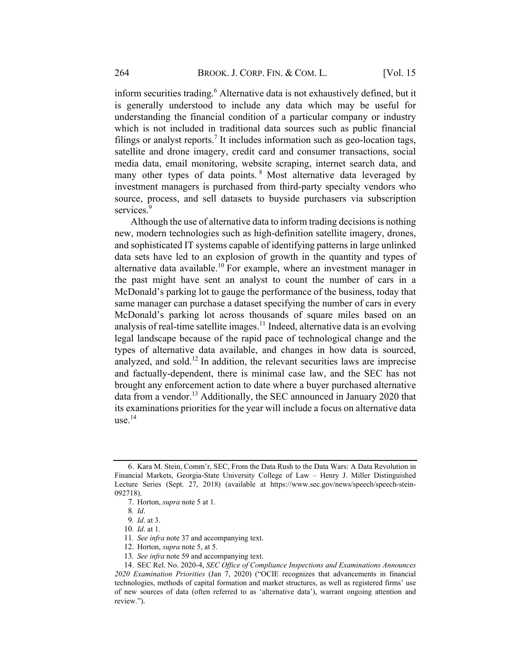inform securities trading.<sup>6</sup> Alternative data is not exhaustively defined, but it is generally understood to include any data which may be useful for understanding the financial condition of a particular company or industry which is not included in traditional data sources such as public financial filings or analyst reports.<sup>7</sup> It includes information such as geo-location tags, satellite and drone imagery, credit card and consumer transactions, social media data, email monitoring, website scraping, internet search data, and many other types of data points. <sup>8</sup> Most alternative data leveraged by investment managers is purchased from third-party specialty vendors who source, process, and sell datasets to buyside purchasers via subscription services.<sup>9</sup>

Although the use of alternative data to inform trading decisions is nothing new, modern technologies such as high-definition satellite imagery, drones, and sophisticated IT systems capable of identifying patterns in large unlinked data sets have led to an explosion of growth in the quantity and types of alternative data available.<sup>10</sup> For example, where an investment manager in the past might have sent an analyst to count the number of cars in a McDonald's parking lot to gauge the performance of the business, today that same manager can purchase a dataset specifying the number of cars in every McDonald's parking lot across thousands of square miles based on an analysis of real-time satellite images.<sup>11</sup> Indeed, alternative data is an evolving legal landscape because of the rapid pace of technological change and the types of alternative data available, and changes in how data is sourced, analyzed, and sold.<sup>12</sup> In addition, the relevant securities laws are imprecise and factually-dependent, there is minimal case law, and the SEC has not brought any enforcement action to date where a buyer purchased alternative data from a vendor.<sup>13</sup> Additionally, the SEC announced in January 2020 that its examinations priorities for the year will include a focus on alternative data use. $14$ 

<sup>6.</sup> Kara M. Stein, Comm'r, SEC, From the Data Rush to the Data Wars: A Data Revolution in Financial Markets, Georgia-State University College of Law – Henry J. Miller Distinguished Lecture Series (Sept. 27, 2018) (available at https://www.sec.gov/news/speech/speech-stein-092718).

<sup>7.</sup> Horton, supra note 5 at 1.

<sup>8</sup>. Id.

<sup>9</sup>. Id. at 3.

<sup>10</sup>. Id. at 1.

<sup>11</sup>. See infra note 37 and accompanying text.

<sup>12.</sup> Horton, supra note 5, at 5.

<sup>13</sup>. See infra note 59 and accompanying text.

<sup>14.</sup> SEC Rel. No. 2020-4, SEC Office of Compliance Inspections and Examinations Announces 2020 Examination Priorities (Jan 7, 2020) ("OCIE recognizes that advancements in financial technologies, methods of capital formation and market structures, as well as registered firms' use of new sources of data (often referred to as 'alternative data'), warrant ongoing attention and review.").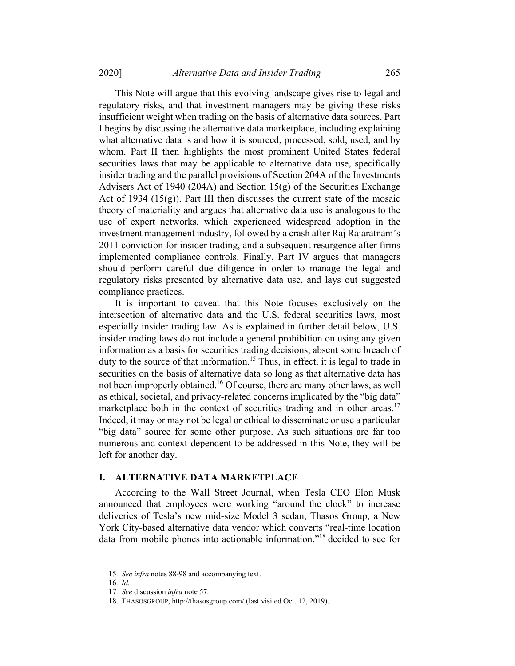This Note will argue that this evolving landscape gives rise to legal and regulatory risks, and that investment managers may be giving these risks insufficient weight when trading on the basis of alternative data sources. Part I begins by discussing the alternative data marketplace, including explaining what alternative data is and how it is sourced, processed, sold, used, and by whom. Part II then highlights the most prominent United States federal securities laws that may be applicable to alternative data use, specifically insider trading and the parallel provisions of Section 204A of the Investments Advisers Act of 1940 (204A) and Section 15(g) of the Securities Exchange Act of 1934  $(15(g))$ . Part III then discusses the current state of the mosaic theory of materiality and argues that alternative data use is analogous to the use of expert networks, which experienced widespread adoption in the investment management industry, followed by a crash after Raj Rajaratnam's 2011 conviction for insider trading, and a subsequent resurgence after firms implemented compliance controls. Finally, Part IV argues that managers should perform careful due diligence in order to manage the legal and regulatory risks presented by alternative data use, and lays out suggested compliance practices.

It is important to caveat that this Note focuses exclusively on the intersection of alternative data and the U.S. federal securities laws, most especially insider trading law. As is explained in further detail below, U.S. insider trading laws do not include a general prohibition on using any given information as a basis for securities trading decisions, absent some breach of duty to the source of that information.<sup>15</sup> Thus, in effect, it is legal to trade in securities on the basis of alternative data so long as that alternative data has not been improperly obtained.<sup>16</sup> Of course, there are many other laws, as well as ethical, societal, and privacy-related concerns implicated by the "big data" marketplace both in the context of securities trading and in other areas.<sup>17</sup> Indeed, it may or may not be legal or ethical to disseminate or use a particular "big data" source for some other purpose. As such situations are far too numerous and context-dependent to be addressed in this Note, they will be left for another day.

## I. ALTERNATIVE DATA MARKETPLACE

According to the Wall Street Journal, when Tesla CEO Elon Musk announced that employees were working "around the clock" to increase deliveries of Tesla's new mid-size Model 3 sedan, Thasos Group, a New York City-based alternative data vendor which converts "real-time location data from mobile phones into actionable information,"18 decided to see for

<sup>15</sup>. See infra notes 88-98 and accompanying text.

<sup>16</sup>. Id.

<sup>17</sup>. See discussion infra note 57.

<sup>18.</sup> THASOSGROUP, http://thasosgroup.com/ (last visited Oct. 12, 2019).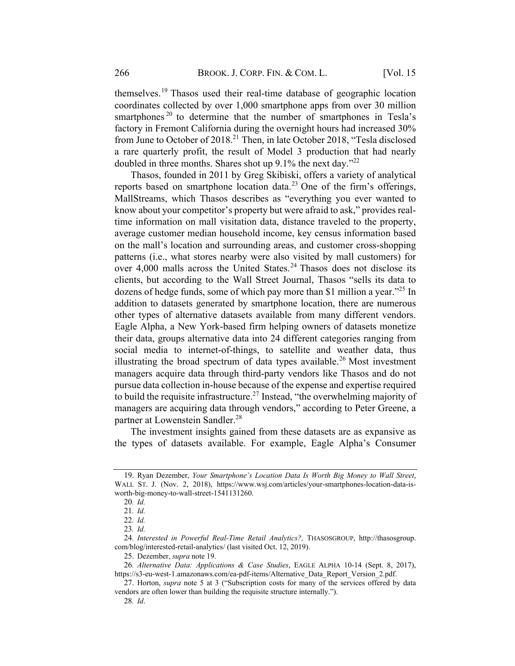themselves.<sup>19</sup> Thasos used their real-time database of geographic location coordinates collected by over 1,000 smartphone apps from over 30 million smartphones<sup>20</sup> to determine that the number of smartphones in Tesla's factory in Fremont California during the overnight hours had increased 30% from June to October of 2018.<sup>21</sup> Then, in late October 2018, "Tesla disclosed a rare quarterly profit, the result of Model 3 production that had nearly doubled in three months. Shares shot up  $9.1\%$  the next day."<sup>22</sup>

Thasos, founded in 2011 by Greg Skibiski, offers a variety of analytical reports based on smartphone location data.<sup>23</sup> One of the firm's offerings, MallStreams, which Thasos describes as "everything you ever wanted to know about your competitor's property but were afraid to ask," provides realtime information on mall visitation data, distance traveled to the property, average customer median household income, key census information based on the mall's location and surrounding areas, and customer cross-shopping patterns (i.e., what stores nearby were also visited by mall customers) for over  $4,000$  malls across the United States.<sup>24</sup> Thasos does not disclose its clients, but according to the Wall Street Journal, Thasos "sells its data to dozens of hedge funds, some of which pay more than \$1 million a year.<sup> $25$ </sup> In addition to datasets generated by smartphone location, there are numerous other types of alternative datasets available from many different vendors. Eagle Alpha, a New York-based firm helping owners of datasets monetize their data, groups alternative data into 24 different categories ranging from social media to internet-of-things, to satellite and weather data, thus illustrating the broad spectrum of data types available.<sup>26</sup> Most investment managers acquire data through third-party vendors like Thasos and do not pursue data collection in-house because of the expense and expertise required to build the requisite infrastructure.<sup>27</sup> Instead, "the overwhelming majority of managers are acquiring data through vendors," according to Peter Greene, a partner at Lowenstein Sandler.<sup>28</sup>

The investment insights gained from these datasets are as expansive as the types of datasets available. For example, Eagle Alpha's Consumer

<sup>19.</sup> Ryan Dezember, Your Smartphone's Location Data Is Worth Big Money to Wall Street, WALL ST. J. (Nov. 2, 2018), https://www.wsj.com/articles/your-smartphones-location-data-isworth-big-money-to-wall-street-1541131260.

<sup>20</sup>. Id.

<sup>21</sup>. Id.

<sup>22</sup>. Id.

<sup>23</sup>. Id.

<sup>24</sup>. Interested in Powerful Real-Time Retail Analytics?, THASOSGROUP, http://thasosgroup. com/blog/interested-retail-analytics/ (last visited Oct. 12, 2019).

<sup>25.</sup> Dezember, supra note 19.

<sup>26</sup>. Alternative Data: Applications & Case Studies, EAGLE ALPHA 10-14 (Sept. 8, 2017), https://s3-eu-west-1.amazonaws.com/ea-pdf-items/Alternative\_Data\_Report\_Version\_2.pdf.

<sup>27.</sup> Horton, supra note 5 at 3 ("Subscription costs for many of the services offered by data vendors are often lower than building the requisite structure internally.").

<sup>28</sup>. Id.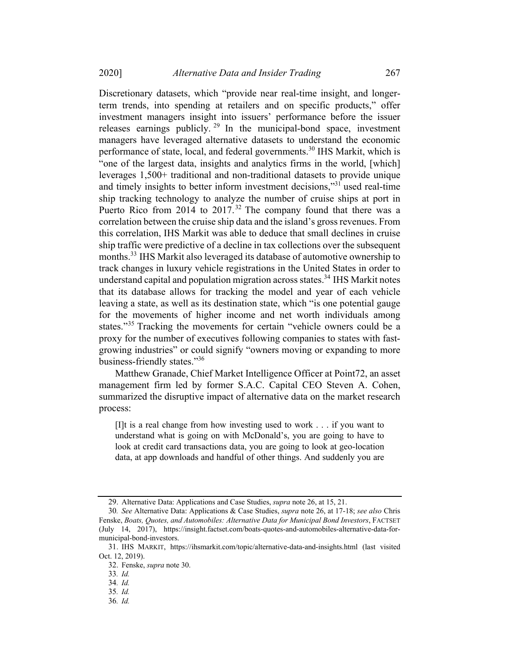Discretionary datasets, which "provide near real-time insight, and longerterm trends, into spending at retailers and on specific products," offer investment managers insight into issuers' performance before the issuer releases earnings publicly.<sup>29</sup> In the municipal-bond space, investment managers have leveraged alternative datasets to understand the economic performance of state, local, and federal governments.<sup>30</sup> IHS Markit, which is "one of the largest data, insights and analytics firms in the world, [which] leverages 1,500+ traditional and non-traditional datasets to provide unique and timely insights to better inform investment decisions,"<sup>31</sup> used real-time ship tracking technology to analyze the number of cruise ships at port in Puerto Rico from 2014 to  $2017$ .<sup>32</sup> The company found that there was a correlation between the cruise ship data and the island's grossrevenues. From this correlation, IHS Markit was able to deduce that small declines in cruise ship traffic were predictive of a decline in tax collections over the subsequent months.<sup>33</sup> IHS Markit also leveraged its database of automotive ownership to track changes in luxury vehicle registrations in the United States in order to understand capital and population migration across states.<sup>34</sup> IHS Markit notes that its database allows for tracking the model and year of each vehicle leaving a state, as well as its destination state, which "is one potential gauge for the movements of higher income and net worth individuals among states."<sup>35</sup> Tracking the movements for certain "vehicle owners could be a proxy for the number of executives following companies to states with fastgrowing industries" or could signify "owners moving or expanding to more business-friendly states."36

Matthew Granade, Chief Market Intelligence Officer at Point72, an asset management firm led by former S.A.C. Capital CEO Steven A. Cohen, summarized the disruptive impact of alternative data on the market research process:

[I]t is a real change from how investing used to work . . . if you want to understand what is going on with McDonald's, you are going to have to look at credit card transactions data, you are going to look at geo-location data, at app downloads and handful of other things. And suddenly you are

<sup>29.</sup> Alternative Data: Applications and Case Studies, supra note 26, at 15, 21.

<sup>30</sup>. See Alternative Data: Applications & Case Studies, supra note 26, at 17-18; see also Chris Fenske, Boats, Quotes, and Automobiles: Alternative Data for Municipal Bond Investors, FACTSET (July 14, 2017), https://insight.factset.com/boats-quotes-and-automobiles-alternative-data-formunicipal-bond-investors.

<sup>31.</sup> IHS MARKIT, https://ihsmarkit.com/topic/alternative-data-and-insights.html (last visited Oct. 12, 2019).

<sup>32.</sup> Fenske, supra note 30.

<sup>33</sup>. Id.

<sup>34</sup>. Id.

<sup>35</sup>. Id.

<sup>36</sup>. Id.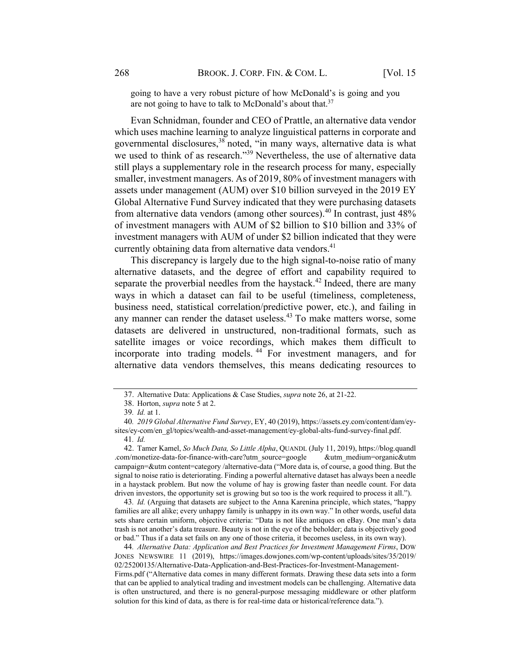going to have a very robust picture of how McDonald's is going and you are not going to have to talk to McDonald's about that.<sup>37</sup>

Evan Schnidman, founder and CEO of Prattle, an alternative data vendor which uses machine learning to analyze linguistical patterns in corporate and governmental disclosures, <sup>38</sup> noted, "in many ways, alternative data is what we used to think of as research."<sup>39</sup> Nevertheless, the use of alternative data still plays a supplementary role in the research process for many, especially smaller, investment managers. As of 2019, 80% of investment managers with assets under management (AUM) over \$10 billion surveyed in the 2019 EY Global Alternative Fund Survey indicated that they were purchasing datasets from alternative data vendors (among other sources).<sup>40</sup> In contrast, just 48% of investment managers with AUM of \$2 billion to \$10 billion and 33% of investment managers with AUM of under \$2 billion indicated that they were currently obtaining data from alternative data vendors.<sup>41</sup>

This discrepancy is largely due to the high signal-to-noise ratio of many alternative datasets, and the degree of effort and capability required to separate the proverbial needles from the haystack.<sup>42</sup> Indeed, there are many ways in which a dataset can fail to be useful (timeliness, completeness, business need, statistical correlation/predictive power, etc.), and failing in any manner can render the dataset useless.<sup>43</sup> To make matters worse, some datasets are delivered in unstructured, non-traditional formats, such as satellite images or voice recordings, which makes them difficult to incorporate into trading models. <sup>44</sup> For investment managers, and for alternative data vendors themselves, this means dedicating resources to

43. Id. (Arguing that datasets are subject to the Anna Karenina principle, which states, "happy families are all alike; every unhappy family is unhappy in its own way." In other words, useful data sets share certain uniform, objective criteria: "Data is not like antiques on eBay. One man's data trash is not another's data treasure. Beauty is not in the eye of the beholder; data is objectively good or bad." Thus if a data set fails on any one of those criteria, it becomes useless, in its own way).

44. Alternative Data: Application and Best Practices for Investment Management Firms, DOW JONES NEWSWIRE 11 (2019), https://images.dowjones.com/wp-content/uploads/sites/35/2019/ 02/25200135/Alternative-Data-Application-and-Best-Practices-for-Investment-Management-Firms.pdf ("Alternative data comes in many different formats. Drawing these data sets into a form that can be applied to analytical trading and investment models can be challenging. Alternative data is often unstructured, and there is no general-purpose messaging middleware or other platform solution for this kind of data, as there is for real-time data or historical/reference data.").

<sup>37.</sup> Alternative Data: Applications & Case Studies, supra note 26, at 21-22.

<sup>38.</sup> Horton, supra note 5 at 2.

<sup>39</sup>. Id. at 1.

<sup>40</sup>. 2019 Global Alternative Fund Survey, EY, 40 (2019), https://assets.ey.com/content/dam/eysites/ey-com/en\_gl/topics/wealth-and-asset-management/ey-global-alts-fund-survey-final.pdf. 41. Id.

<sup>42.</sup> Tamer Kamel, So Much Data, So Little Alpha, QUANDL (July 11, 2019), https://blog.quandl .com/monetize-data-for-finance-with-care?utm\_source=google &utm\_medium=organic&utm campaign=&utm content=category /alternative-data ("More data is, of course, a good thing. But the signal to noise ratio is deteriorating. Finding a powerful alternative dataset has always been a needle in a haystack problem. But now the volume of hay is growing faster than needle count. For data driven investors, the opportunity set is growing but so too is the work required to process it all.").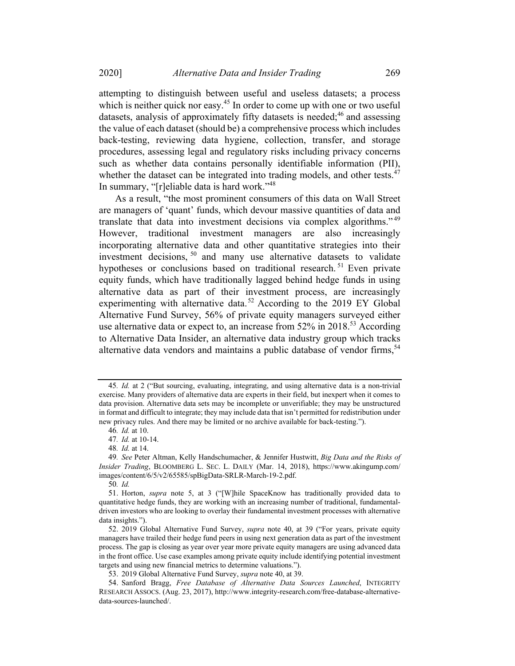attempting to distinguish between useful and useless datasets; a process which is neither quick nor easy.<sup>45</sup> In order to come up with one or two useful datasets, analysis of approximately fifty datasets is needed;<sup>46</sup> and assessing the value of each dataset (should be) a comprehensive process which includes back-testing, reviewing data hygiene, collection, transfer, and storage procedures, assessing legal and regulatory risks including privacy concerns such as whether data contains personally identifiable information (PII), whether the dataset can be integrated into trading models, and other tests.<sup>47</sup> In summary, "[r]eliable data is hard work."<sup>48</sup>

As a result, "the most prominent consumers of this data on Wall Street are managers of 'quant' funds, which devour massive quantities of data and translate that data into investment decisions via complex algorithms." <sup>49</sup> However, traditional investment managers are also increasingly incorporating alternative data and other quantitative strategies into their investment decisions,  $50$  and many use alternative datasets to validate hypotheses or conclusions based on traditional research.<sup>51</sup> Even private equity funds, which have traditionally lagged behind hedge funds in using alternative data as part of their investment process, are increasingly experimenting with alternative data.<sup>52</sup> According to the 2019 EY Global Alternative Fund Survey, 56% of private equity managers surveyed either use alternative data or expect to, an increase from 52% in 2018.<sup>53</sup> According to Alternative Data Insider, an alternative data industry group which tracks alternative data vendors and maintains a public database of vendor firms,  $54$ 

<sup>45</sup>. Id. at 2 ("But sourcing, evaluating, integrating, and using alternative data is a non-trivial exercise. Many providers of alternative data are experts in their field, but inexpert when it comes to data provision. Alternative data sets may be incomplete or unverifiable; they may be unstructured in format and difficult to integrate; they may include data that isn't permitted for redistribution under new privacy rules. And there may be limited or no archive available for back-testing.").

<sup>46</sup>. Id. at 10.

<sup>47</sup>. Id. at 10-14.

<sup>48</sup>. Id. at 14.

<sup>49.</sup> See Peter Altman, Kelly Handschumacher, & Jennifer Hustwitt, Big Data and the Risks of Insider Trading, BLOOMBERG L. SEC. L. DAILY (Mar. 14, 2018), https://www.akingump.com/ images/content/6/5/v2/65585/spBigData-SRLR-March-19-2.pdf.

<sup>50</sup>. Id.

<sup>51.</sup> Horton, supra note 5, at 3 ("[W]hile SpaceKnow has traditionally provided data to quantitative hedge funds, they are working with an increasing number of traditional, fundamentaldriven investors who are looking to overlay their fundamental investment processes with alternative data insights.").

<sup>52.</sup> 2019 Global Alternative Fund Survey, supra note 40, at 39 ("For years, private equity managers have trailed their hedge fund peers in using next generation data as part of the investment process. The gap is closing as year over year more private equity managers are using advanced data in the front office. Use case examples among private equity include identifying potential investment targets and using new financial metrics to determine valuations.").

<sup>53.</sup> 2019 Global Alternative Fund Survey, supra note 40, at 39.

<sup>54.</sup> Sanford Bragg, Free Database of Alternative Data Sources Launched, INTEGRITY RESEARCH ASSOCS. (Aug. 23, 2017), http://www.integrity-research.com/free-database-alternativedata-sources-launched/.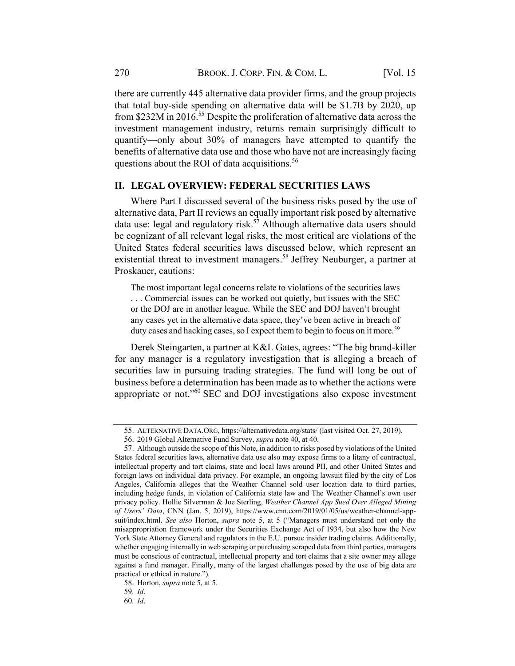there are currently 445 alternative data provider firms, and the group projects that total buy-side spending on alternative data will be \$1.7B by 2020, up from \$232M in 2016. <sup>55</sup> Despite the proliferation of alternative data across the investment management industry, returns remain surprisingly difficult to quantify—only about 30% of managers have attempted to quantify the benefits of alternative data use and those who have not are increasingly facing questions about the ROI of data acquisitions.<sup>56</sup>

# II. LEGAL OVERVIEW: FEDERAL SECURITIES LAWS

Where Part I discussed several of the business risks posed by the use of alternative data, Part II reviews an equally important risk posed by alternative data use: legal and regulatory risk.<sup>57</sup> Although alternative data users should be cognizant of all relevant legal risks, the most critical are violations of the United States federal securities laws discussed below, which represent an existential threat to investment managers.<sup>58</sup> Jeffrey Neuburger, a partner at Proskauer, cautions:

The most important legal concerns relate to violations of the securities laws . . . Commercial issues can be worked out quietly, but issues with the SEC or the DOJ are in another league. While the SEC and DOJ haven't brought any cases yet in the alternative data space, they've been active in breach of duty cases and hacking cases, so I expect them to begin to focus on it more.<sup>59</sup>

Derek Steingarten, a partner at K&L Gates, agrees: "The big brand-killer for any manager is a regulatory investigation that is alleging a breach of securities law in pursuing trading strategies. The fund will long be out of business before a determination has been made as to whether the actions were appropriate or not."60 SEC and DOJ investigations also expose investment

<sup>55.</sup> ALTERNATIVE DATA.ORG, https://alternativedata.org/stats/ (last visited Oct. 27, 2019).

<sup>56.</sup> 2019 Global Alternative Fund Survey, supra note 40, at 40.

<sup>57.</sup> Although outside the scope of this Note, in addition to risks posed by violations of the United States federal securities laws, alternative data use also may expose firms to a litany of contractual, intellectual property and tort claims, state and local laws around PII, and other United States and foreign laws on individual data privacy. For example, an ongoing lawsuit filed by the city of Los Angeles, California alleges that the Weather Channel sold user location data to third parties, including hedge funds, in violation of California state law and The Weather Channel's own user privacy policy. Hollie Silverman & Joe Sterling, Weather Channel App Sued Over Alleged Mining of Users' Data, CNN (Jan. 5, 2019), https://www.cnn.com/2019/01/05/us/weather-channel-appsuit/index.html. See also Horton, supra note 5, at 5 ("Managers must understand not only the misappropriation framework under the Securities Exchange Act of 1934, but also how the New York State Attorney General and regulators in the E.U. pursue insider trading claims. Additionally, whether engaging internally in web scraping or purchasing scraped data from third parties, managers must be conscious of contractual, intellectual property and tort claims that a site owner may allege against a fund manager. Finally, many of the largest challenges posed by the use of big data are practical or ethical in nature.").

<sup>58.</sup> Horton, supra note 5, at 5.

<sup>59</sup>. Id.

<sup>60</sup>. Id.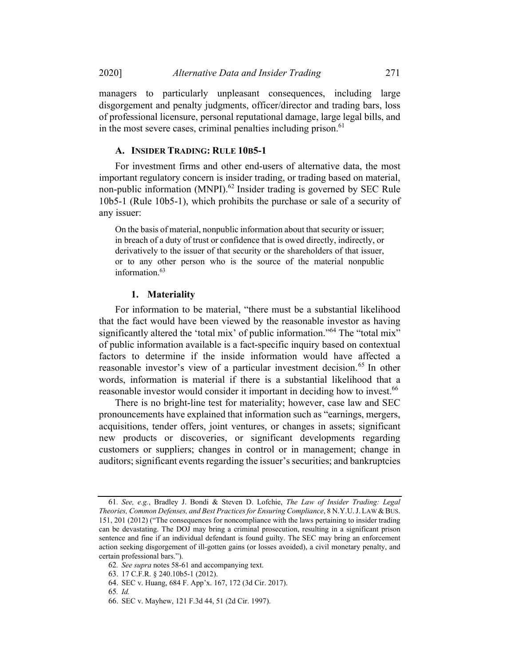managers to particularly unpleasant consequences, including large disgorgement and penalty judgments, officer/director and trading bars, loss of professional licensure, personal reputational damage, large legal bills, and in the most severe cases, criminal penalties including prison.<sup>61</sup>

#### A. INSIDER TRADING: RULE 10B5-1

For investment firms and other end-users of alternative data, the most important regulatory concern is insider trading, or trading based on material, non-public information (MNPI).<sup>62</sup> Insider trading is governed by SEC Rule 10b5-1 (Rule 10b5-1), which prohibits the purchase or sale of a security of any issuer:

On the basis of material, nonpublic information about that security or issuer; in breach of a duty of trust or confidence that is owed directly, indirectly, or derivatively to the issuer of that security or the shareholders of that issuer, or to any other person who is the source of the material nonpublic information.<sup>63</sup>

#### 1. Materiality

For information to be material, "there must be a substantial likelihood that the fact would have been viewed by the reasonable investor as having significantly altered the 'total mix' of public information."<sup>64</sup> The "total mix" of public information available is a fact-specific inquiry based on contextual factors to determine if the inside information would have affected a reasonable investor's view of a particular investment decision.<sup>65</sup> In other words, information is material if there is a substantial likelihood that a reasonable investor would consider it important in deciding how to invest.<sup>66</sup>

There is no bright-line test for materiality; however, case law and SEC pronouncements have explained that information such as "earnings, mergers, acquisitions, tender offers, joint ventures, or changes in assets; significant new products or discoveries, or significant developments regarding customers or suppliers; changes in control or in management; change in auditors; significant events regarding the issuer's securities; and bankruptcies

66. SEC v. Mayhew, 121 F.3d 44, 51 (2d Cir. 1997).

<sup>61</sup>. See, e.g., Bradley J. Bondi & Steven D. Lofchie, The Law of Insider Trading: Legal Theories, Common Defenses, and Best Practices for Ensuring Compliance, 8 N.Y.U.J. LAW & BUS. 151, 201 (2012) ("The consequences for noncompliance with the laws pertaining to insider trading can be devastating. The DOJ may bring a criminal prosecution, resulting in a significant prison sentence and fine if an individual defendant is found guilty. The SEC may bring an enforcement action seeking disgorgement of ill-gotten gains (or losses avoided), a civil monetary penalty, and certain professional bars.").

<sup>62</sup>. See supra notes 58-61 and accompanying text.

<sup>63.</sup> 17 C.F.R. § 240.10b5-1 (2012).

<sup>64.</sup> SEC v. Huang, 684 F. App'x. 167, 172 (3d Cir. 2017).

<sup>65</sup>. Id.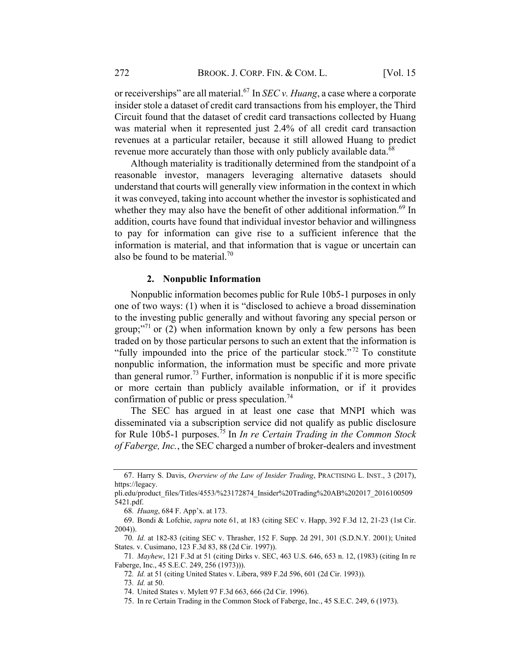or receiverships" are all material.<sup>67</sup> In *SEC v. Huang*, a case where a corporate insider stole a dataset of credit card transactions from his employer, the Third Circuit found that the dataset of credit card transactions collected by Huang was material when it represented just 2.4% of all credit card transaction revenues at a particular retailer, because it still allowed Huang to predict revenue more accurately than those with only publicly available data.<sup>68</sup>

Although materiality is traditionally determined from the standpoint of a reasonable investor, managers leveraging alternative datasets should understand that courts will generally view information in the context in which it was conveyed, taking into account whether the investor is sophisticated and whether they may also have the benefit of other additional information.<sup>69</sup> In addition, courts have found that individual investor behavior and willingness to pay for information can give rise to a sufficient inference that the information is material, and that information that is vague or uncertain can also be found to be material.<sup>70</sup>

#### 2. Nonpublic Information

Nonpublic information becomes public for Rule 10b5-1 purposes in only one of two ways: (1) when it is "disclosed to achieve a broad dissemination to the investing public generally and without favoring any special person or group;<sup>"71</sup> or (2) when information known by only a few persons has been traded on by those particular persons to such an extent that the information is "fully impounded into the price of the particular stock."<sup>72</sup> To constitute nonpublic information, the information must be specific and more private than general rumor.<sup>73</sup> Further, information is nonpublic if it is more specific or more certain than publicly available information, or if it provides confirmation of public or press speculation.74

The SEC has argued in at least one case that MNPI which was disseminated via a subscription service did not qualify as public disclosure for Rule 10b5-1 purposes.<sup>75</sup> In *In re Certain Trading in the Common Stock* of Faberge, Inc., the SEC charged a number of broker-dealers and investment

<sup>67.</sup> Harry S. Davis, Overview of the Law of Insider Trading, PRACTISING L. INST., 3 (2017), https://legacy.

pli.edu/product\_files/Titles/4553/%23172874\_Insider%20Trading%20AB%202017\_2016100509 5421.pdf.

<sup>68</sup>. Huang, 684 F. App'x. at 173.

<sup>69.</sup> Bondi & Lofchie, supra note 61, at 183 (citing SEC v. Happ, 392 F.3d 12, 21-23 (1st Cir. 2004)).

<sup>70</sup>. Id. at 182-83 (citing SEC v. Thrasher, 152 F. Supp. 2d 291, 301 (S.D.N.Y. 2001); United States. v. Cusimano, 123 F.3d 83, 88 (2d Cir. 1997)).

<sup>71</sup>. Mayhew, 121 F.3d at 51 (citing Dirks v. SEC, 463 U.S. 646, 653 n. 12, (1983) (citing In re Faberge, Inc., 45 S.E.C. 249, 256 (1973))).

<sup>72</sup>. Id. at 51 (citing United States v. Libera, 989 F.2d 596, 601 (2d Cir. 1993)).

<sup>73</sup>. Id. at 50.

<sup>74.</sup> United States v. Mylett 97 F.3d 663, 666 (2d Cir. 1996).

<sup>75.</sup> In re Certain Trading in the Common Stock of Faberge, Inc., 45 S.E.C. 249, 6 (1973).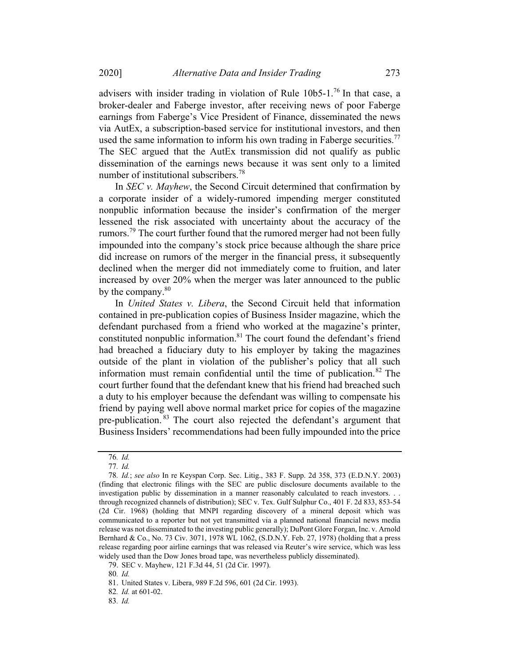advisers with insider trading in violation of Rule  $10b5$ -1.<sup>76</sup> In that case, a broker-dealer and Faberge investor, after receiving news of poor Faberge earnings from Faberge's Vice President of Finance, disseminated the news via AutEx, a subscription-based service for institutional investors, and then used the same information to inform his own trading in Faberge securities.<sup>77</sup> The SEC argued that the AutEx transmission did not qualify as public dissemination of the earnings news because it was sent only to a limited number of institutional subscribers.<sup>78</sup>

In *SEC v. Mayhew*, the Second Circuit determined that confirmation by a corporate insider of a widely-rumored impending merger constituted nonpublic information because the insider's confirmation of the merger lessened the risk associated with uncertainty about the accuracy of the rumors.<sup>79</sup> The court further found that the rumored merger had not been fully impounded into the company's stock price because although the share price did increase on rumors of the merger in the financial press, it subsequently declined when the merger did not immediately come to fruition, and later increased by over 20% when the merger was later announced to the public by the company. $80$ 

In United States v. Libera, the Second Circuit held that information contained in pre-publication copies of Business Insider magazine, which the defendant purchased from a friend who worked at the magazine's printer, constituted nonpublic information.<sup>81</sup> The court found the defendant's friend had breached a fiduciary duty to his employer by taking the magazines outside of the plant in violation of the publisher's policy that all such information must remain confidential until the time of publication.<sup>82</sup> The court further found that the defendant knew that his friend had breached such a duty to his employer because the defendant was willing to compensate his friend by paying well above normal market price for copies of the magazine pre-publication. <sup>83</sup> The court also rejected the defendant's argument that Business Insiders' recommendations had been fully impounded into the price

<sup>76</sup>. Id.

<sup>77</sup>. Id.

<sup>78</sup>. Id.; see also In re Keyspan Corp. Sec. Litig., 383 F. Supp. 2d 358, 373 (E.D.N.Y. 2003) (finding that electronic filings with the SEC are public disclosure documents available to the investigation public by dissemination in a manner reasonably calculated to reach investors. . . through recognized channels of distribution); SEC v. Tex. Gulf Sulphur Co., 401 F. 2d 833, 853-54 (2d Cir. 1968) (holding that MNPI regarding discovery of a mineral deposit which was communicated to a reporter but not yet transmitted via a planned national financial news media release was not disseminated to the investing public generally); DuPont Glore Forgan, Inc. v. Arnold Bernhard & Co., No. 73 Civ. 3071, 1978 WL 1062, (S.D.N.Y. Feb. 27, 1978) (holding that a press release regarding poor airline earnings that was released via Reuter's wire service, which was less widely used than the Dow Jones broad tape, was nevertheless publicly disseminated).

<sup>79.</sup> SEC v. Mayhew, 121 F.3d 44, 51 (2d Cir. 1997).

<sup>80</sup>. Id.

<sup>81.</sup> United States v. Libera, 989 F.2d 596, 601 (2d Cir. 1993).

<sup>82</sup>. Id. at 601-02.

<sup>83</sup>. Id.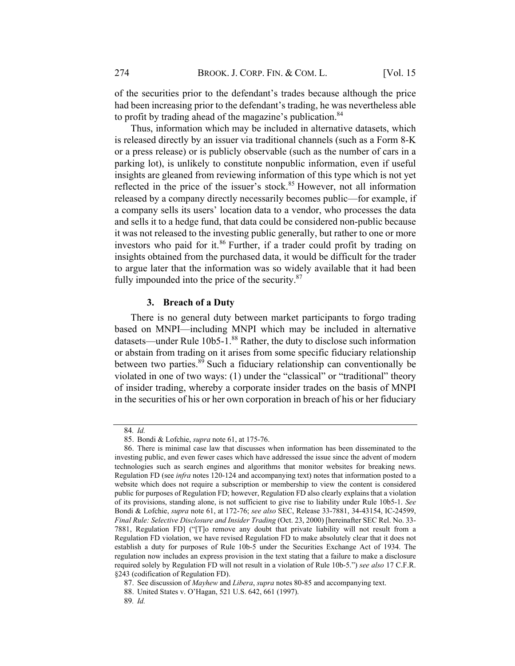of the securities prior to the defendant's trades because although the price had been increasing prior to the defendant's trading, he was nevertheless able to profit by trading ahead of the magazine's publication.<sup>84</sup>

Thus, information which may be included in alternative datasets, which is released directly by an issuer via traditional channels (such as a Form 8-K or a press release) or is publicly observable (such as the number of cars in a parking lot), is unlikely to constitute nonpublic information, even if useful insights are gleaned from reviewing information of this type which is not yet reflected in the price of the issuer's stock.<sup>85</sup> However, not all information released by a company directly necessarily becomes public—for example, if a company sells its users' location data to a vendor, who processes the data and sells it to a hedge fund, that data could be considered non-public because it was not released to the investing public generally, but rather to one or more investors who paid for it. <sup>86</sup> Further, if a trader could profit by trading on insights obtained from the purchased data, it would be difficult for the trader to argue later that the information was so widely available that it had been fully impounded into the price of the security. $87$ 

## 3. Breach of a Duty

There is no general duty between market participants to forgo trading based on MNPI—including MNPI which may be included in alternative datasets—under Rule 10b5-1.<sup>88</sup> Rather, the duty to disclose such information or abstain from trading on it arises from some specific fiduciary relationship between two parties. $8\overline{9}$  Such a fiduciary relationship can conventionally be violated in one of two ways: (1) under the "classical" or "traditional" theory of insider trading, whereby a corporate insider trades on the basis of MNPI in the securities of his or her own corporation in breach of his or her fiduciary

<sup>84</sup>. Id.

<sup>85.</sup> Bondi & Lofchie, supra note 61, at 175-76.

<sup>86.</sup> There is minimal case law that discusses when information has been disseminated to the investing public, and even fewer cases which have addressed the issue since the advent of modern technologies such as search engines and algorithms that monitor websites for breaking news. Regulation FD (see *infra* notes 120-124 and accompanying text) notes that information posted to a website which does not require a subscription or membership to view the content is considered public for purposes of Regulation FD; however, Regulation FD also clearly explains that a violation of its provisions, standing alone, is not sufficient to give rise to liability under Rule 10b5-1. See Bondi & Lofchie, supra note 61, at 172-76; see also SEC, Release 33-7881, 34-43154, IC-24599, Final Rule: Selective Disclosure and Insider Trading (Oct. 23, 2000) [hereinafter SEC Rel. No. 33- 7881, Regulation FD] ("[T]o remove any doubt that private liability will not result from a Regulation FD violation, we have revised Regulation FD to make absolutely clear that it does not establish a duty for purposes of Rule 10b-5 under the Securities Exchange Act of 1934. The regulation now includes an express provision in the text stating that a failure to make a disclosure required solely by Regulation FD will not result in a violation of Rule 10b-5.") see also 17 C.F.R. §243 (codification of Regulation FD).

<sup>87.</sup> See discussion of Mayhew and Libera, supra notes 80-85 and accompanying text.

<sup>88.</sup> United States v. O'Hagan, 521 U.S. 642, 661 (1997).

<sup>89</sup>. Id.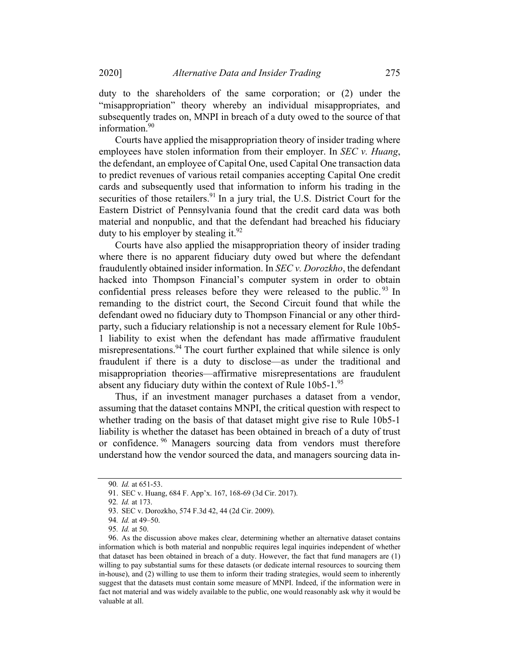duty to the shareholders of the same corporation; or (2) under the "misappropriation" theory whereby an individual misappropriates, and subsequently trades on, MNPI in breach of a duty owed to the source of that information.<sup>90</sup>

Courts have applied the misappropriation theory of insider trading where employees have stolen information from their employer. In SEC  $v$ . Huang, the defendant, an employee of Capital One, used Capital One transaction data to predict revenues of various retail companies accepting Capital One credit cards and subsequently used that information to inform his trading in the securities of those retailers.<sup>91</sup> In a jury trial, the U.S. District Court for the Eastern District of Pennsylvania found that the credit card data was both material and nonpublic, and that the defendant had breached his fiduciary duty to his employer by stealing it.<sup>92</sup>

Courts have also applied the misappropriation theory of insider trading where there is no apparent fiduciary duty owed but where the defendant fraudulently obtained insider information. In SEC v. Dorozkho, the defendant hacked into Thompson Financial's computer system in order to obtain confidential press releases before they were released to the public.<sup>93</sup> In remanding to the district court, the Second Circuit found that while the defendant owed no fiduciary duty to Thompson Financial or any other thirdparty, such a fiduciary relationship is not a necessary element for Rule 10b5- 1 liability to exist when the defendant has made affirmative fraudulent misrepresentations.<sup>94</sup> The court further explained that while silence is only fraudulent if there is a duty to disclose—as under the traditional and misappropriation theories—affirmative misrepresentations are fraudulent absent any fiduciary duty within the context of Rule  $10b5-1.^{95}$ 

Thus, if an investment manager purchases a dataset from a vendor, assuming that the dataset contains MNPI, the critical question with respect to whether trading on the basis of that dataset might give rise to Rule 10b5-1 liability is whether the dataset has been obtained in breach of a duty of trust or confidence. <sup>96</sup> Managers sourcing data from vendors must therefore understand how the vendor sourced the data, and managers sourcing data in-

<sup>90</sup>. Id. at 651-53.

<sup>91.</sup> SEC v. Huang, 684 F. App'x. 167, 168-69 (3d Cir. 2017).

<sup>92</sup>. Id. at 173.

<sup>93.</sup> SEC v. Dorozkho, 574 F.3d 42, 44 (2d Cir. 2009).

<sup>94</sup>. Id. at 49–50.

<sup>95</sup>. Id. at 50.

<sup>96.</sup> As the discussion above makes clear, determining whether an alternative dataset contains information which is both material and nonpublic requires legal inquiries independent of whether that dataset has been obtained in breach of a duty. However, the fact that fund managers are (1) willing to pay substantial sums for these datasets (or dedicate internal resources to sourcing them in-house), and (2) willing to use them to inform their trading strategies, would seem to inherently suggest that the datasets must contain some measure of MNPI. Indeed, if the information were in fact not material and was widely available to the public, one would reasonably ask why it would be valuable at all.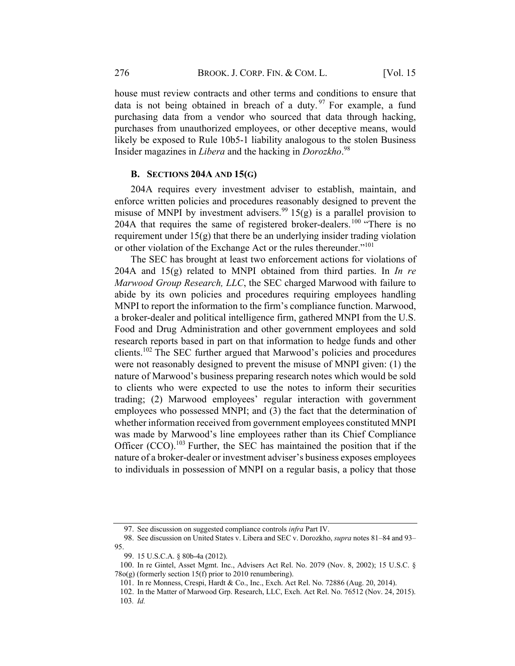house must review contracts and other terms and conditions to ensure that data is not being obtained in breach of a duty.  $97$  For example, a fund purchasing data from a vendor who sourced that data through hacking, purchases from unauthorized employees, or other deceptive means, would likely be exposed to Rule 10b5-1 liability analogous to the stolen Business Insider magazines in *Libera* and the hacking in Dorozkho.<sup>98</sup>

#### B. SECTIONS  $204A$  AND  $15(G)$

204A requires every investment adviser to establish, maintain, and enforce written policies and procedures reasonably designed to prevent the misuse of MNPI by investment advisers.<sup>99</sup> 15(g) is a parallel provision to 204A that requires the same of registered broker-dealers.<sup>100</sup> "There is no requirement under  $15(g)$  that there be an underlying insider trading violation or other violation of the Exchange Act or the rules thereunder."<sup>101</sup>

The SEC has brought at least two enforcement actions for violations of 204A and  $15(g)$  related to MNPI obtained from third parties. In *In re* Marwood Group Research, LLC, the SEC charged Marwood with failure to abide by its own policies and procedures requiring employees handling MNPI to report the information to the firm's compliance function. Marwood, a broker-dealer and political intelligence firm, gathered MNPI from the U.S. Food and Drug Administration and other government employees and sold research reports based in part on that information to hedge funds and other clients.<sup>102</sup> The SEC further argued that Marwood's policies and procedures were not reasonably designed to prevent the misuse of MNPI given: (1) the nature of Marwood's business preparing research notes which would be sold to clients who were expected to use the notes to inform their securities trading; (2) Marwood employees' regular interaction with government employees who possessed MNPI; and (3) the fact that the determination of whether information received from government employees constituted MNPI was made by Marwood's line employees rather than its Chief Compliance Officer (CCO).<sup>103</sup> Further, the SEC has maintained the position that if the nature of a broker-dealer or investment adviser's business exposes employees to individuals in possession of MNPI on a regular basis, a policy that those

<sup>97.</sup> See discussion on suggested compliance controls infra Part IV.

<sup>98.</sup> See discussion on United States v. Libera and SEC v. Dorozkho, supra notes 81–84 and 93– 95.

<sup>99.</sup> 15 U.S.C.A. § 80b-4a (2012).

<sup>100.</sup> In re Gintel, Asset Mgmt. Inc., Advisers Act Rel. No. 2079 (Nov. 8, 2002); 15 U.S.C. § 78o(g) (formerly section 15(f) prior to 2010 renumbering).

<sup>101.</sup> In re Monness, Crespi, Hardt & Co., Inc., Exch. Act Rel. No. 72886 (Aug. 20, 2014).

<sup>102.</sup> In the Matter of Marwood Grp. Research, LLC, Exch. Act Rel. No. 76512 (Nov. 24, 2015). 103. Id.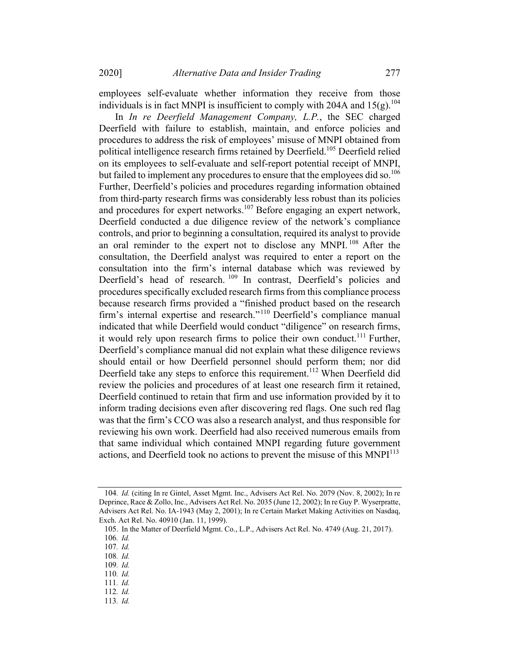employees self-evaluate whether information they receive from those individuals is in fact MNPI is insufficient to comply with 204A and  $15(g)$ .<sup>104</sup>

In In re Deerfield Management Company, L.P., the SEC charged Deerfield with failure to establish, maintain, and enforce policies and procedures to address the risk of employees' misuse of MNPI obtained from political intelligence research firms retained by Deerfield.<sup>105</sup> Deerfield relied on its employees to self-evaluate and self-report potential receipt of MNPI, but failed to implement any procedures to ensure that the employees did so.<sup>106</sup> Further, Deerfield's policies and procedures regarding information obtained from third-party research firms was considerably less robust than its policies and procedures for expert networks.<sup>107</sup> Before engaging an expert network, Deerfield conducted a due diligence review of the network's compliance controls, and prior to beginning a consultation, required its analyst to provide an oral reminder to the expert not to disclose any MNPI.<sup>108</sup> After the consultation, the Deerfield analyst was required to enter a report on the consultation into the firm's internal database which was reviewed by Deerfield's head of research. 109 In contrast, Deerfield's policies and procedures specifically excluded research firms from this compliance process because research firms provided a "finished product based on the research firm's internal expertise and research."<sup>110</sup> Deerfield's compliance manual indicated that while Deerfield would conduct "diligence" on research firms, it would rely upon research firms to police their own conduct.<sup>111</sup> Further, Deerfield's compliance manual did not explain what these diligence reviews should entail or how Deerfield personnel should perform them; nor did Deerfield take any steps to enforce this requirement.<sup>112</sup> When Deerfield did review the policies and procedures of at least one research firm it retained, Deerfield continued to retain that firm and use information provided by it to inform trading decisions even after discovering red flags. One such red flag was that the firm's CCO was also a research analyst, and thus responsible for reviewing his own work. Deerfield had also received numerous emails from that same individual which contained MNPI regarding future government actions, and Deerfield took no actions to prevent the misuse of this  $MNPI<sup>113</sup>$ 

- 111. Id. 112. Id.
- 113. Id.

<sup>104</sup>. Id. (citing In re Gintel, Asset Mgmt. Inc., Advisers Act Rel. No. 2079 (Nov. 8, 2002); In re Deprince, Race & Zollo, Inc., Advisers Act Rel. No. 2035 (June 12, 2002); In re Guy P. Wyserpratte, Advisers Act Rel. No. IA-1943 (May 2, 2001); In re Certain Market Making Activities on Nasdaq, Exch. Act Rel. No. 40910 (Jan. 11, 1999).

<sup>105.</sup> In the Matter of Deerfield Mgmt. Co., L.P., Advisers Act Rel. No. 4749 (Aug. 21, 2017).

<sup>106</sup>. Id.

<sup>107</sup>. Id.

<sup>108</sup>. Id.

<sup>109</sup>. Id.

<sup>110</sup>. Id.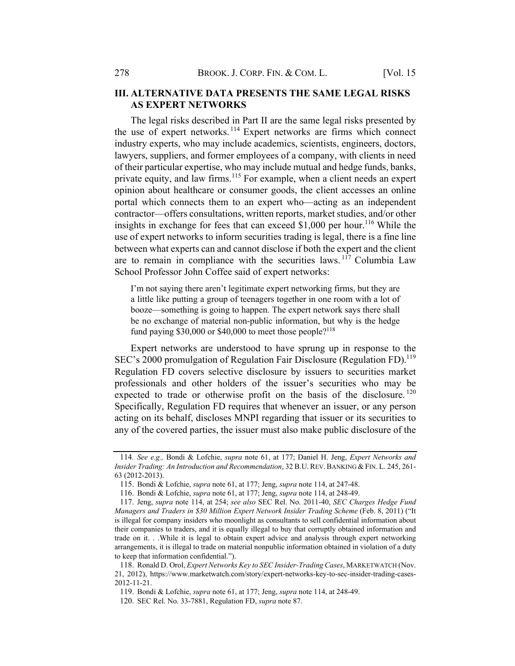# **III. ALTERNATIVE DATA PRESENTS THE SAME LEGAL RISKS** AS EXPERT NETWORKS

The legal risks described in Part II are the same legal risks presented by the use of expert networks. <sup>114</sup> Expert networks are firms which connect industry experts, who may include academics, scientists, engineers, doctors, lawyers, suppliers, and former employees of a company, with clients in need of their particular expertise, who may include mutual and hedge funds, banks, private equity, and law firms.<sup>115</sup> For example, when a client needs an expert opinion about healthcare or consumer goods, the client accesses an online portal which connects them to an expert who—acting as an independent contractor—offers consultations, written reports, market studies, and/or other insights in exchange for fees that can exceed \$1,000 per hour.<sup>116</sup> While the use of expert networks to inform securities trading is legal, there is a fine line between what experts can and cannot disclose if both the expert and the client are to remain in compliance with the securities laws.  $117$  Columbia Law School Professor John Coffee said of expert networks:

I'm not saying there aren't legitimate expert networking firms, but they are a little like putting a group of teenagers together in one room with a lot of booze—something is going to happen. The expert network says there shall be no exchange of material non-public information, but why is the hedge fund paying  $$30,000$  or  $$40,000$  to meet those people?<sup>118</sup>

Expert networks are understood to have sprung up in response to the SEC's 2000 promulgation of Regulation Fair Disclosure (Regulation FD).<sup>119</sup> Regulation FD covers selective disclosure by issuers to securities market professionals and other holders of the issuer's securities who may be expected to trade or otherwise profit on the basis of the disclosure.<sup>120</sup> Specifically, Regulation FD requires that whenever an issuer, or any person acting on its behalf, discloses MNPI regarding that issuer or its securities to any of the covered parties, the issuer must also make public disclosure of the

<sup>114</sup>. See e.g., Bondi & Lofchie, supra note 61, at 177; Daniel H. Jeng, Expert Networks and Insider Trading: An Introduction and Recommendation, 32 B.U. REV. BANKING & FIN. L. 245, 261-63 (2012-2013).

<sup>115.</sup> Bondi & Lofchie, supra note 61, at 177; Jeng, supra note 114, at 247-48.

<sup>116.</sup> Bondi & Lofchie, supra note 61, at 177; Jeng, supra note 114, at 248-49.

<sup>117.</sup> Jeng, supra note 114, at 254; see also SEC Rel. No. 2011-40, SEC Charges Hedge Fund Managers and Traders in \$30 Million Expert Network Insider Trading Scheme (Feb. 8, 2011) ("It is illegal for company insiders who moonlight as consultants to sell confidential information about their companies to traders, and it is equally illegal to buy that corruptly obtained information and trade on it. . .While it is legal to obtain expert advice and analysis through expert networking arrangements, it is illegal to trade on material nonpublic information obtained in violation of a duty to keep that information confidential.").

<sup>118.</sup> Ronald D. Orol, Expert Networks Key to SEC Insider-Trading Cases, MARKETWATCH (Nov. 21, 2012), https://www.marketwatch.com/story/expert-networks-key-to-sec-insider-trading-cases-2012-11-21.

<sup>119.</sup> Bondi & Lofchie, supra note 61, at 177; Jeng, supra note 114, at 248-49.

<sup>120.</sup> SEC Rel. No. 33-7881, Regulation FD, supra note 87.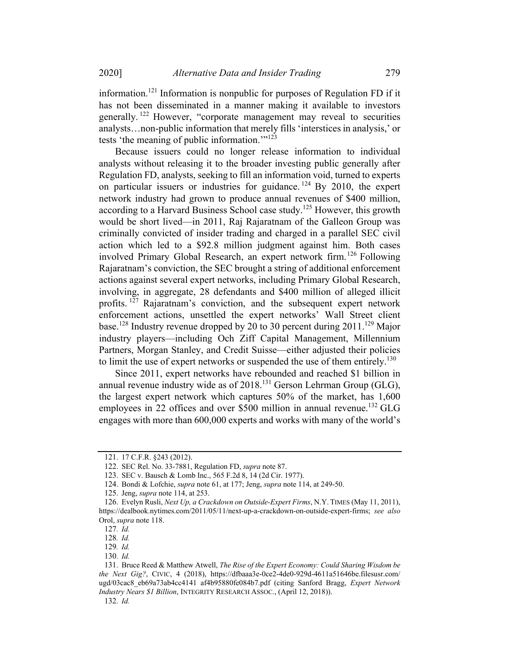information.121 Information is nonpublic for purposes of Regulation FD if it has not been disseminated in a manner making it available to investors generally. <sup>122</sup> However, "corporate management may reveal to securities analysts…non-public information that merely fills 'interstices in analysis,' or tests 'the meaning of public information."<sup>123</sup>

Because issuers could no longer release information to individual analysts without releasing it to the broader investing public generally after Regulation FD, analysts, seeking to fill an information void, turned to experts on particular issuers or industries for guidance. <sup>124</sup> By 2010, the expert network industry had grown to produce annual revenues of \$400 million, according to a Harvard Business School case study.<sup>125</sup> However, this growth would be short lived—in 2011, Raj Rajaratnam of the Galleon Group was criminally convicted of insider trading and charged in a parallel SEC civil action which led to a \$92.8 million judgment against him. Both cases involved Primary Global Research, an expert network firm.<sup>126</sup> Following Rajaratnam's conviction, the SEC brought a string of additional enforcement actions against several expert networks, including Primary Global Research, involving, in aggregate, 28 defendants and \$400 million of alleged illicit profits. <sup>127</sup> Rajaratnam's conviction, and the subsequent expert network enforcement actions, unsettled the expert networks' Wall Street client base.<sup>128</sup> Industry revenue dropped by 20 to 30 percent during 2011.<sup>129</sup> Major industry players—including Och Ziff Capital Management, Millennium Partners, Morgan Stanley, and Credit Suisse—either adjusted their policies to limit the use of expert networks or suspended the use of them entirely.<sup>130</sup>

Since 2011, expert networks have rebounded and reached \$1 billion in annual revenue industry wide as of 2018.<sup>131</sup> Gerson Lehrman Group (GLG), the largest expert network which captures 50% of the market, has 1,600 employees in 22 offices and over \$500 million in annual revenue.<sup>132</sup> GLG engages with more than 600,000 experts and works with many of the world's

<sup>121.</sup> 17 C.F.R. §243 (2012).

<sup>122.</sup> SEC Rel. No. 33-7881, Regulation FD, supra note 87.

<sup>123.</sup> SEC v. Bausch & Lomb Inc., 565 F.2d 8, 14 (2d Cir. 1977).

<sup>124.</sup> Bondi & Lofchie, supra note 61, at 177; Jeng, supra note 114, at 249-50.

<sup>125.</sup> Jeng, supra note 114, at 253.

<sup>126.</sup> Evelyn Rusli, Next Up, a Crackdown on Outside-Expert Firms, N.Y. TIMES (May 11, 2011), https://dealbook.nytimes.com/2011/05/11/next-up-a-crackdown-on-outside-expert-firms; see also Orol, supra note 118.

<sup>127</sup>. Id.

<sup>128</sup>. Id.

<sup>129</sup>. Id.

<sup>130</sup>. Id.

<sup>131.</sup> Bruce Reed & Matthew Atwell, The Rise of the Expert Economy: Could Sharing Wisdom be the Next Gig?, CIVIC, 4 (2018), https://dfbaaa3e-0ce2-4de0-929d-4611a51646be.filesusr.com/ ugd/03cac8\_eb69a73ab4cc4141\_af4b95880fe084b7.pdf (citing Sanford Bragg, Expert Network Industry Nears \$1 Billion, INTEGRITY RESEARCH ASSOC., (April 12, 2018)). 132. Id.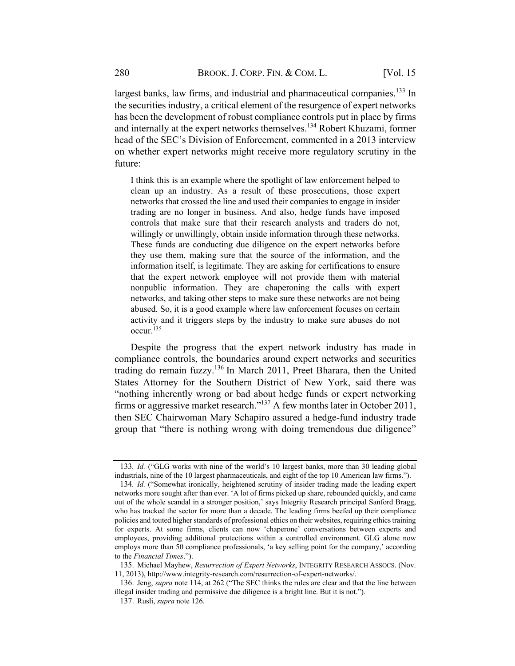largest banks, law firms, and industrial and pharmaceutical companies.<sup>133</sup> In the securities industry, a critical element of the resurgence of expert networks has been the development of robust compliance controls put in place by firms and internally at the expert networks themselves.<sup>134</sup> Robert Khuzami, former head of the SEC's Division of Enforcement, commented in a 2013 interview on whether expert networks might receive more regulatory scrutiny in the future:

I think this is an example where the spotlight of law enforcement helped to clean up an industry. As a result of these prosecutions, those expert networks that crossed the line and used their companies to engage in insider trading are no longer in business. And also, hedge funds have imposed controls that make sure that their research analysts and traders do not, willingly or unwillingly, obtain inside information through these networks. These funds are conducting due diligence on the expert networks before they use them, making sure that the source of the information, and the information itself, is legitimate. They are asking for certifications to ensure that the expert network employee will not provide them with material nonpublic information. They are chaperoning the calls with expert networks, and taking other steps to make sure these networks are not being abused. So, it is a good example where law enforcement focuses on certain activity and it triggers steps by the industry to make sure abuses do not occur.135

Despite the progress that the expert network industry has made in compliance controls, the boundaries around expert networks and securities trading do remain fuzzy.136 In March 2011, Preet Bharara, then the United States Attorney for the Southern District of New York, said there was "nothing inherently wrong or bad about hedge funds or expert networking firms or aggressive market research."<sup>137</sup> A few months later in October 2011, then SEC Chairwoman Mary Schapiro assured a hedge-fund industry trade group that "there is nothing wrong with doing tremendous due diligence"

135. Michael Mayhew, Resurrection of Expert Networks, INTEGRITY RESEARCH ASSOCS. (Nov. 11, 2013), http://www.integrity-research.com/resurrection-of-expert-networks/.

<sup>133</sup>. Id. ("GLG works with nine of the world's 10 largest banks, more than 30 leading global industrials, nine of the 10 largest pharmaceuticals, and eight of the top 10 American law firms.").

<sup>134</sup>. Id. ("Somewhat ironically, heightened scrutiny of insider trading made the leading expert networks more sought after than ever. 'A lot of firms picked up share, rebounded quickly, and came out of the whole scandal in a stronger position,' says Integrity Research principal Sanford Bragg, who has tracked the sector for more than a decade. The leading firms beefed up their compliance policies and touted higher standards of professional ethics on their websites, requiring ethics training for experts. At some firms, clients can now 'chaperone' conversations between experts and employees, providing additional protections within a controlled environment. GLG alone now employs more than 50 compliance professionals, 'a key selling point for the company,' according to the Financial Times.").

<sup>136.</sup> Jeng, supra note 114, at 262 ("The SEC thinks the rules are clear and that the line between illegal insider trading and permissive due diligence is a bright line. But it is not.").

<sup>137.</sup> Rusli, supra note 126.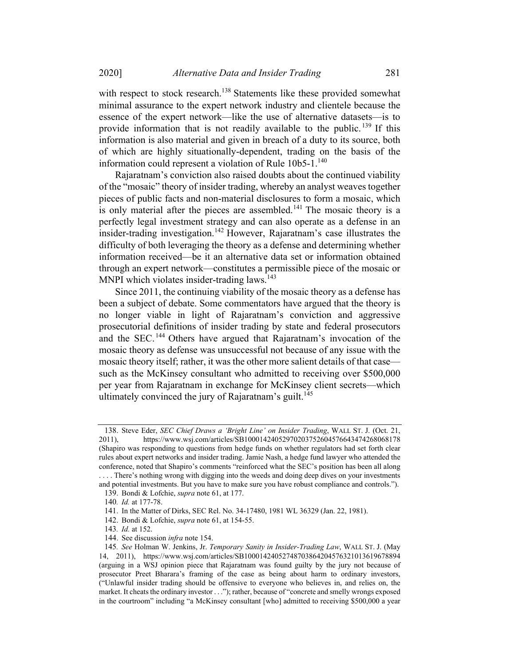with respect to stock research.<sup>138</sup> Statements like these provided somewhat minimal assurance to the expert network industry and clientele because the essence of the expert network—like the use of alternative datasets—is to provide information that is not readily available to the public.<sup>139</sup> If this information is also material and given in breach of a duty to its source, both of which are highly situationally-dependent, trading on the basis of the information could represent a violation of Rule  $10b5-1$ .<sup>140</sup>

Rajaratnam's conviction also raised doubts about the continued viability of the "mosaic" theory of insider trading, whereby an analyst weaves together pieces of public facts and non-material disclosures to form a mosaic, which is only material after the pieces are assembled.<sup>141</sup> The mosaic theory is a perfectly legal investment strategy and can also operate as a defense in an insider-trading investigation.<sup>142</sup> However, Rajaratnam's case illustrates the difficulty of both leveraging the theory as a defense and determining whether information received—be it an alternative data set or information obtained through an expert network—constitutes a permissible piece of the mosaic or MNPI which violates insider-trading laws.<sup>143</sup>

Since 2011, the continuing viability of the mosaic theory as a defense has been a subject of debate. Some commentators have argued that the theory is no longer viable in light of Rajaratnam's conviction and aggressive prosecutorial definitions of insider trading by state and federal prosecutors and the SEC.<sup>144</sup> Others have argued that Rajaratnam's invocation of the mosaic theory as defense was unsuccessful not because of any issue with the mosaic theory itself; rather, it was the other more salient details of that case such as the McKinsey consultant who admitted to receiving over \$500,000 per year from Rajaratnam in exchange for McKinsey client secrets—which ultimately convinced the jury of Rajaratnam's guilt.<sup>145</sup>

144. See discussion infra note 154.

<sup>138.</sup> Steve Eder, SEC Chief Draws a 'Bright Line' on Insider Trading, WALL ST. J. (Oct. 21, 2011), https://www.wsj.com/articles/SB10001424052970203752604576643474268068178 (Shapiro was responding to questions from hedge funds on whether regulators had set forth clear rules about expert networks and insider trading. Jamie Nash, a hedge fund lawyer who attended the conference, noted that Shapiro's comments "reinforced what the SEC's position has been all along . . . . There's nothing wrong with digging into the weeds and doing deep dives on your investments and potential investments. But you have to make sure you have robust compliance and controls."). 139. Bondi & Lofchie, supra note 61, at 177.

<sup>140</sup>. Id. at 177-78.

<sup>141.</sup> In the Matter of Dirks, SEC Rel. No. 34-17480, 1981 WL 36329 (Jan. 22, 1981).

<sup>142.</sup> Bondi & Lofchie, supra note 61, at 154-55.

<sup>143</sup>. Id. at 152.

<sup>145</sup>. See Holman W. Jenkins, Jr. Temporary Sanity in Insider-Trading Law, WALL ST. J. (May 14, 2011), https://www.wsj.com/articles/SB10001424052748703864204576321013619678894 (arguing in a WSJ opinion piece that Rajaratnam was found guilty by the jury not because of prosecutor Preet Bharara's framing of the case as being about harm to ordinary investors, ("Unlawful insider trading should be offensive to everyone who believes in, and relies on, the market. It cheats the ordinary investor . . ."); rather, because of "concrete and smelly wrongs exposed in the courtroom" including "a McKinsey consultant [who] admitted to receiving \$500,000 a year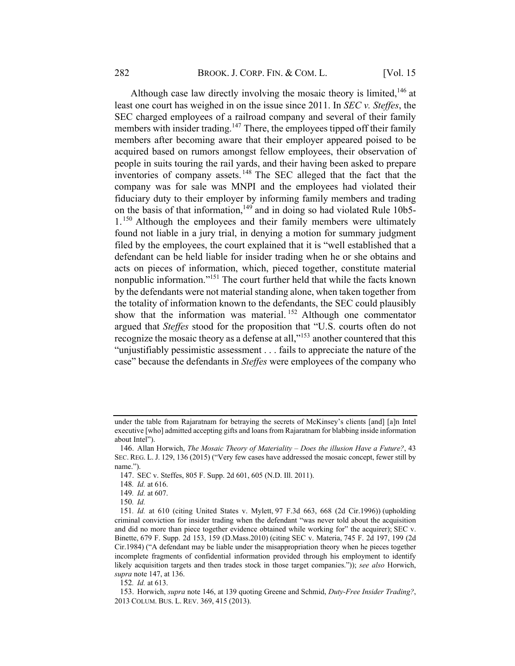Although case law directly involving the mosaic theory is limited.<sup>146</sup> at least one court has weighed in on the issue since 2011. In SEC v. Steffes, the SEC charged employees of a railroad company and several of their family members with insider trading.<sup>147</sup> There, the employees tipped off their family members after becoming aware that their employer appeared poised to be acquired based on rumors amongst fellow employees, their observation of people in suits touring the rail yards, and their having been asked to prepare inventories of company assets. <sup>148</sup> The SEC alleged that the fact that the company was for sale was MNPI and the employees had violated their fiduciary duty to their employer by informing family members and trading on the basis of that information,<sup>149</sup> and in doing so had violated Rule 10b5- $1.^{150}$  Although the employees and their family members were ultimately found not liable in a jury trial, in denying a motion for summary judgment filed by the employees, the court explained that it is "well established that a defendant can be held liable for insider trading when he or she obtains and acts on pieces of information, which, pieced together, constitute material nonpublic information."151 The court further held that while the facts known by the defendants were not material standing alone, when taken together from the totality of information known to the defendants, the SEC could plausibly show that the information was material.<sup>152</sup> Although one commentator argued that Steffes stood for the proposition that "U.S. courts often do not recognize the mosaic theory as a defense at all,"<sup>153</sup> another countered that this "unjustifiably pessimistic assessment . . . fails to appreciate the nature of the case" because the defendants in Steffes were employees of the company who

152. Id. at 613.

under the table from Rajaratnam for betraying the secrets of McKinsey's clients [and] [a]n Intel executive [who] admitted accepting gifts and loans from Rajaratnam for blabbing inside information about Intel").

<sup>146.</sup> Allan Horwich, The Mosaic Theory of Materiality – Does the illusion Have a Future?, 43 SEC. REG. L.J. 129, 136 (2015) ("Very few cases have addressed the mosaic concept, fewer still by name.").

<sup>147.</sup> SEC v. Steffes, 805 F. Supp. 2d 601, 605 (N.D. Ill. 2011).

<sup>148</sup>. Id. at 616.

<sup>149</sup>. Id. at 607.

<sup>150</sup>. Id.

<sup>151</sup>. Id. at 610 (citing United States v. Mylett, 97 F.3d 663, 668 (2d Cir.1996)) (upholding criminal conviction for insider trading when the defendant "was never told about the acquisition and did no more than piece together evidence obtained while working for" the acquirer); SEC v. Binette, 679 F. Supp. 2d 153, 159 (D.Mass.2010) (citing SEC v. Materia, 745 F. 2d 197, 199 (2d Cir.1984) ("A defendant may be liable under the misappropriation theory when he pieces together incomplete fragments of confidential information provided through his employment to identify likely acquisition targets and then trades stock in those target companies.")); see also Horwich, supra note 147, at 136.

<sup>153.</sup> Horwich, supra note 146, at 139 quoting Greene and Schmid, Duty-Free Insider Trading?, 2013 COLUM. BUS. L. REV. 369, 415 (2013).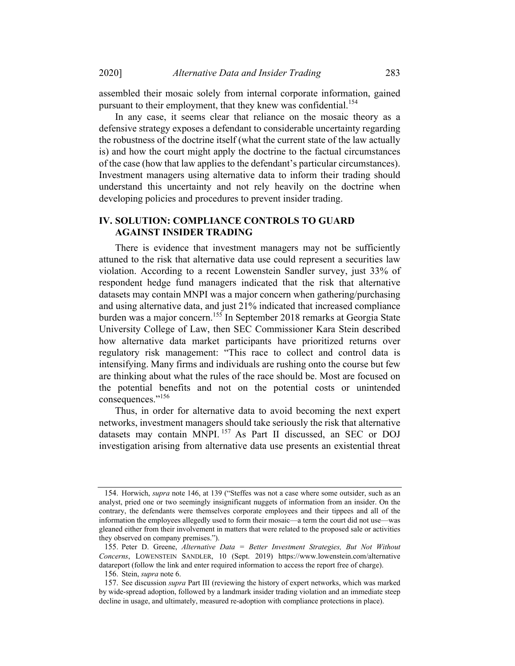assembled their mosaic solely from internal corporate information, gained pursuant to their employment, that they knew was confidential.<sup>154</sup>

In any case, it seems clear that reliance on the mosaic theory as a defensive strategy exposes a defendant to considerable uncertainty regarding the robustness of the doctrine itself (what the current state of the law actually is) and how the court might apply the doctrine to the factual circumstances of the case (how that law applies to the defendant's particular circumstances). Investment managers using alternative data to inform their trading should understand this uncertainty and not rely heavily on the doctrine when developing policies and procedures to prevent insider trading.

# IV. SOLUTION: COMPLIANCE CONTROLS TO GUARD AGAINST INSIDER TRADING

There is evidence that investment managers may not be sufficiently attuned to the risk that alternative data use could represent a securities law violation. According to a recent Lowenstein Sandler survey, just 33% of respondent hedge fund managers indicated that the risk that alternative datasets may contain MNPI was a major concern when gathering/purchasing and using alternative data, and just 21% indicated that increased compliance burden was a major concern.155 In September 2018 remarks at Georgia State University College of Law, then SEC Commissioner Kara Stein described how alternative data market participants have prioritized returns over regulatory risk management: "This race to collect and control data is intensifying. Many firms and individuals are rushing onto the course but few are thinking about what the rules of the race should be. Most are focused on the potential benefits and not on the potential costs or unintended consequences."156

Thus, in order for alternative data to avoid becoming the next expert networks, investment managers should take seriously the risk that alternative datasets may contain MNPI. <sup>157</sup> As Part II discussed, an SEC or DOJ investigation arising from alternative data use presents an existential threat

<sup>154.</sup> Horwich, *supra* note 146, at 139 ("Steffes was not a case where some outsider, such as an analyst, pried one or two seemingly insignificant nuggets of information from an insider. On the contrary, the defendants were themselves corporate employees and their tippees and all of the information the employees allegedly used to form their mosaic—a term the court did not use—was gleaned either from their involvement in matters that were related to the proposed sale or activities they observed on company premises.").

<sup>155.</sup> Peter D. Greene, Alternative Data = Better Investment Strategies, But Not Without Concerns, LOWENSTEIN SANDLER, 10 (Sept. 2019) https://www.lowenstein.com/alternative datareport (follow the link and enter required information to access the report free of charge).

<sup>156.</sup> Stein, supra note 6.

<sup>157.</sup> See discussion supra Part III (reviewing the history of expert networks, which was marked by wide-spread adoption, followed by a landmark insider trading violation and an immediate steep decline in usage, and ultimately, measured re-adoption with compliance protections in place).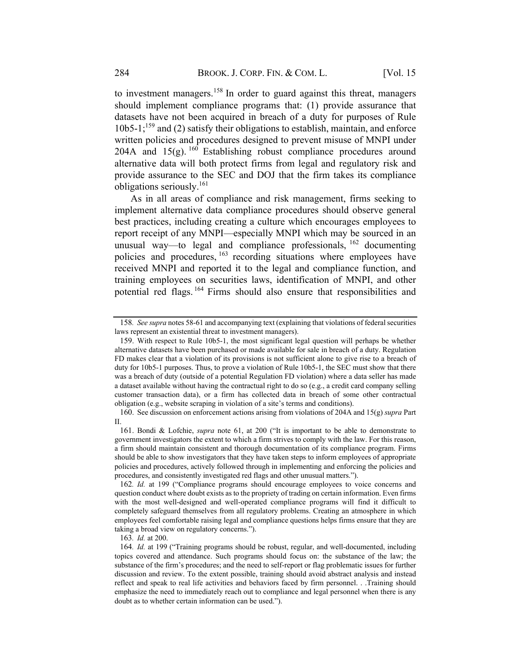to investment managers.<sup>158</sup> In order to guard against this threat, managers should implement compliance programs that: (1) provide assurance that datasets have not been acquired in breach of a duty for purposes of Rule 10b5-1; <sup>159</sup> and (2) satisfy their obligations to establish, maintain, and enforce written policies and procedures designed to prevent misuse of MNPI under 204A and  $15(g)$ . <sup>160</sup> Establishing robust compliance procedures around alternative data will both protect firms from legal and regulatory risk and provide assurance to the SEC and DOJ that the firm takes its compliance obligations seriously.161

As in all areas of compliance and risk management, firms seeking to implement alternative data compliance procedures should observe general best practices, including creating a culture which encourages employees to report receipt of any MNPI—especially MNPI which may be sourced in an unusual way—to legal and compliance professionals, <sup>162</sup> documenting policies and procedures, <sup>163</sup> recording situations where employees have received MNPI and reported it to the legal and compliance function, and training employees on securities laws, identification of MNPI, and other potential red flags. <sup>164</sup> Firms should also ensure that responsibilities and

160. See discussion on enforcement actions arising from violations of 204A and 15(g) supra Part II.

163. Id. at 200.

<sup>158</sup>. See supra notes 58-61 and accompanying text (explaining that violations of federal securities laws represent an existential threat to investment managers).

<sup>159.</sup> With respect to Rule 10b5-1, the most significant legal question will perhaps be whether alternative datasets have been purchased or made available for sale in breach of a duty. Regulation FD makes clear that a violation of its provisions is not sufficient alone to give rise to a breach of duty for 10b5-1 purposes. Thus, to prove a violation of Rule 10b5-1, the SEC must show that there was a breach of duty (outside of a potential Regulation FD violation) where a data seller has made a dataset available without having the contractual right to do so (e.g., a credit card company selling customer transaction data), or a firm has collected data in breach of some other contractual obligation (e.g., website scraping in violation of a site's terms and conditions).

<sup>161.</sup> Bondi & Lofchie, supra note 61, at 200 ("It is important to be able to demonstrate to government investigators the extent to which a firm strives to comply with the law. For this reason, a firm should maintain consistent and thorough documentation of its compliance program. Firms should be able to show investigators that they have taken steps to inform employees of appropriate policies and procedures, actively followed through in implementing and enforcing the policies and procedures, and consistently investigated red flags and other unusual matters.").

<sup>162</sup>. Id. at 199 ("Compliance programs should encourage employees to voice concerns and question conduct where doubt exists as to the propriety of trading on certain information. Even firms with the most well-designed and well-operated compliance programs will find it difficult to completely safeguard themselves from all regulatory problems. Creating an atmosphere in which employees feel comfortable raising legal and compliance questions helps firms ensure that they are taking a broad view on regulatory concerns.").

<sup>164</sup>. Id. at 199 ("Training programs should be robust, regular, and well-documented, including topics covered and attendance. Such programs should focus on: the substance of the law; the substance of the firm's procedures; and the need to self-report or flag problematic issues for further discussion and review. To the extent possible, training should avoid abstract analysis and instead reflect and speak to real life activities and behaviors faced by firm personnel. . .Training should emphasize the need to immediately reach out to compliance and legal personnel when there is any doubt as to whether certain information can be used.").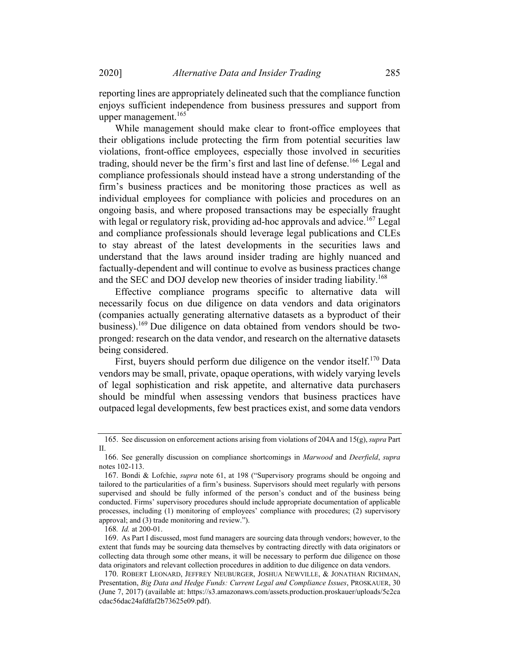reporting lines are appropriately delineated such that the compliance function enjoys sufficient independence from business pressures and support from upper management.<sup>165</sup>

While management should make clear to front-office employees that their obligations include protecting the firm from potential securities law violations, front-office employees, especially those involved in securities trading, should never be the firm's first and last line of defense.<sup>166</sup> Legal and compliance professionals should instead have a strong understanding of the firm's business practices and be monitoring those practices as well as individual employees for compliance with policies and procedures on an ongoing basis, and where proposed transactions may be especially fraught with legal or regulatory risk, providing ad-hoc approvals and advice.<sup>167</sup> Legal and compliance professionals should leverage legal publications and CLEs to stay abreast of the latest developments in the securities laws and understand that the laws around insider trading are highly nuanced and factually-dependent and will continue to evolve as business practices change and the SEC and DOJ develop new theories of insider trading liability.<sup>168</sup>

Effective compliance programs specific to alternative data will necessarily focus on due diligence on data vendors and data originators (companies actually generating alternative datasets as a byproduct of their business).<sup>169</sup> Due diligence on data obtained from vendors should be twopronged: research on the data vendor, and research on the alternative datasets being considered.

First, buyers should perform due diligence on the vendor itself.<sup>170</sup> Data vendors may be small, private, opaque operations, with widely varying levels of legal sophistication and risk appetite, and alternative data purchasers should be mindful when assessing vendors that business practices have outpaced legal developments, few best practices exist, and some data vendors

169. As Part I discussed, most fund managers are sourcing data through vendors; however, to the extent that funds may be sourcing data themselves by contracting directly with data originators or collecting data through some other means, it will be necessary to perform due diligence on those data originators and relevant collection procedures in addition to due diligence on data vendors.

<sup>165.</sup> See discussion on enforcement actions arising from violations of 204A and 15(g), *supra* Part II.

<sup>166.</sup> See generally discussion on compliance shortcomings in Marwood and Deerfield, supra notes 102-113.

<sup>167.</sup> Bondi & Lofchie, supra note 61, at 198 ("Supervisory programs should be ongoing and tailored to the particularities of a firm's business. Supervisors should meet regularly with persons supervised and should be fully informed of the person's conduct and of the business being conducted. Firms' supervisory procedures should include appropriate documentation of applicable processes, including (1) monitoring of employees' compliance with procedures; (2) supervisory approval; and (3) trade monitoring and review.").

<sup>168</sup>. Id. at 200-01.

<sup>170.</sup> ROBERT LEONARD, JEFFREY NEUBURGER, JOSHUA NEWVILLE, & JONATHAN RICHMAN, Presentation, Big Data and Hedge Funds: Current Legal and Compliance Issues, PROSKAUER, 30 (June 7, 2017) (available at: https://s3.amazonaws.com/assets.production.proskauer/uploads/5c2ca cdac56dac24afdfaf2b73625e09.pdf).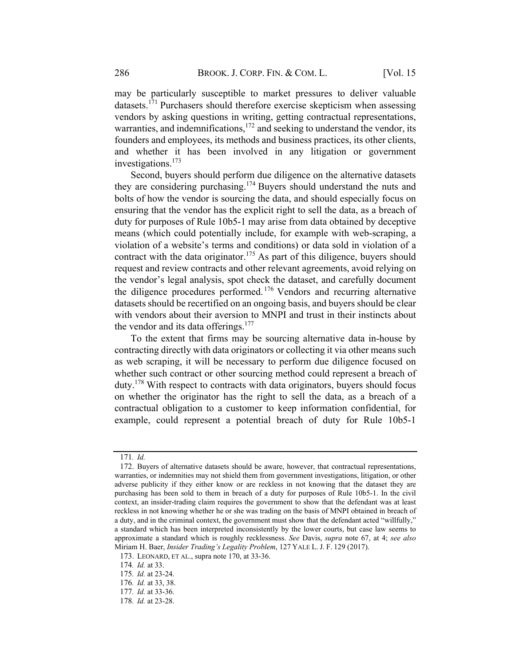may be particularly susceptible to market pressures to deliver valuable datasets.<sup>171</sup> Purchasers should therefore exercise skepticism when assessing vendors by asking questions in writing, getting contractual representations, warranties, and indemnifications,<sup>172</sup> and seeking to understand the vendor, its founders and employees, its methods and business practices, its other clients, and whether it has been involved in any litigation or government investigations. 173

Second, buyers should perform due diligence on the alternative datasets they are considering purchasing.<sup>174</sup> Buyers should understand the nuts and bolts of how the vendor is sourcing the data, and should especially focus on ensuring that the vendor has the explicit right to sell the data, as a breach of duty for purposes of Rule 10b5-1 may arise from data obtained by deceptive means (which could potentially include, for example with web-scraping, a violation of a website's terms and conditions) or data sold in violation of a contract with the data originator.<sup>175</sup> As part of this diligence, buyers should request and review contracts and other relevant agreements, avoid relying on the vendor's legal analysis, spot check the dataset, and carefully document the diligence procedures performed. <sup>176</sup> Vendors and recurring alternative datasets should be recertified on an ongoing basis, and buyers should be clear with vendors about their aversion to MNPI and trust in their instincts about the vendor and its data offerings.<sup>177</sup>

To the extent that firms may be sourcing alternative data in-house by contracting directly with data originators or collecting it via other means such as web scraping, it will be necessary to perform due diligence focused on whether such contract or other sourcing method could represent a breach of duty.<sup>178</sup> With respect to contracts with data originators, buyers should focus on whether the originator has the right to sell the data, as a breach of a contractual obligation to a customer to keep information confidential, for example, could represent a potential breach of duty for Rule 10b5-1

<sup>171</sup>. Id.

<sup>172.</sup> Buyers of alternative datasets should be aware, however, that contractual representations, warranties, or indemnities may not shield them from government investigations, litigation, or other adverse publicity if they either know or are reckless in not knowing that the dataset they are purchasing has been sold to them in breach of a duty for purposes of Rule 10b5-1. In the civil context, an insider-trading claim requires the government to show that the defendant was at least reckless in not knowing whether he or she was trading on the basis of MNPI obtained in breach of a duty, and in the criminal context, the government must show that the defendant acted "willfully," a standard which has been interpreted inconsistently by the lower courts, but case law seems to approximate a standard which is roughly recklessness. See Davis, supra note 67, at 4; see also Miriam H. Baer, Insider Trading's Legality Problem, 127 YALE L. J. F. 129 (2017).

<sup>173.</sup> LEONARD, ET AL., supra note 170, at 33-36.

<sup>174</sup>. Id. at 33.

<sup>175</sup>. Id. at 23-24.

<sup>176</sup>. Id. at 33, 38.

<sup>177</sup>. Id. at 33-36.

<sup>178</sup>. Id. at 23-28.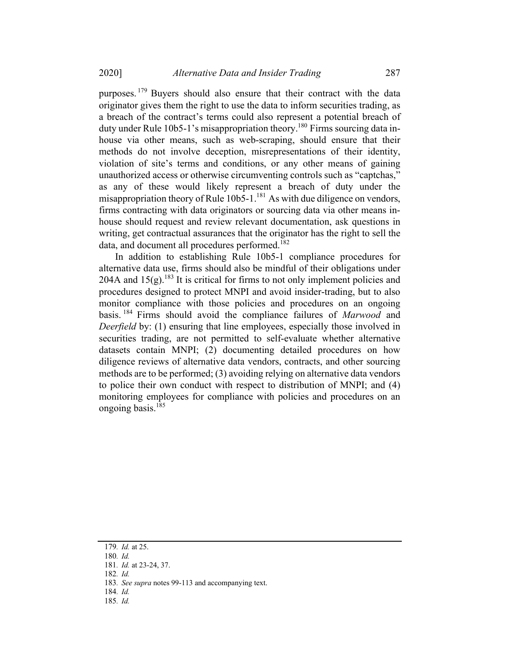purposes. <sup>179</sup> Buyers should also ensure that their contract with the data originator gives them the right to use the data to inform securities trading, as a breach of the contract's terms could also represent a potential breach of duty under Rule 10b5-1's misappropriation theory.<sup>180</sup> Firms sourcing data inhouse via other means, such as web-scraping, should ensure that their methods do not involve deception, misrepresentations of their identity, violation of site's terms and conditions, or any other means of gaining unauthorized access or otherwise circumventing controls such as "captchas," as any of these would likely represent a breach of duty under the misappropriation theory of Rule  $10b5-1$ .<sup>181</sup> As with due diligence on vendors, firms contracting with data originators or sourcing data via other means inhouse should request and review relevant documentation, ask questions in writing, get contractual assurances that the originator has the right to sell the data, and document all procedures performed.<sup>182</sup>

In addition to establishing Rule 10b5-1 compliance procedures for alternative data use, firms should also be mindful of their obligations under 204A and  $15(g)$ .<sup>183</sup> It is critical for firms to not only implement policies and procedures designed to protect MNPI and avoid insider-trading, but to also monitor compliance with those policies and procedures on an ongoing basis. <sup>184</sup> Firms should avoid the compliance failures of Marwood and Deerfield by: (1) ensuring that line employees, especially those involved in securities trading, are not permitted to self-evaluate whether alternative datasets contain MNPI; (2) documenting detailed procedures on how diligence reviews of alternative data vendors, contracts, and other sourcing methods are to be performed; (3) avoiding relying on alternative data vendors to police their own conduct with respect to distribution of MNPI; and (4) monitoring employees for compliance with policies and procedures on an ongoing basis.185

- 184. Id.
- 185. Id.

<sup>179</sup>. Id. at 25.

<sup>180</sup>. Id.

<sup>181</sup>. Id. at 23-24, 37.

<sup>182</sup>. Id.

<sup>183</sup>. See supra notes 99-113 and accompanying text.